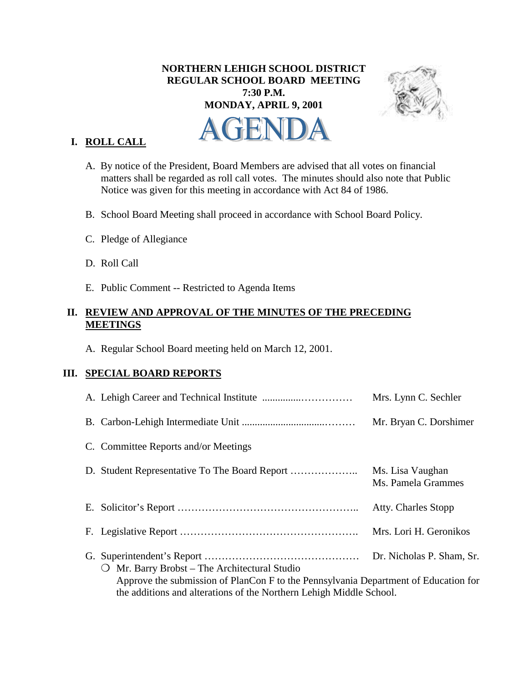# **NORTHERN LEHIGH SCHOOL DISTRICT REGULAR SCHOOL BOARD MEETING 7:30 P.M. MONDAY, APRIL 9, 2001**



# **I. ROLL CALL**

- A. By notice of the President, Board Members are advised that all votes on financial matters shall be regarded as roll call votes. The minutes should also note that Public Notice was given for this meeting in accordance with Act 84 of 1986.
- B. School Board Meeting shall proceed in accordance with School Board Policy.
- C. Pledge of Allegiance
- D. Roll Call
- E. Public Comment -- Restricted to Agenda Items

## **II. REVIEW AND APPROVAL OF THE MINUTES OF THE PRECEDING MEETINGS**

A. Regular School Board meeting held on March 12, 2001.

## **III. SPECIAL BOARD REPORTS**

|                                                                                                                                                                                                                                                    | Mrs. Lynn C. Sechler                   |
|----------------------------------------------------------------------------------------------------------------------------------------------------------------------------------------------------------------------------------------------------|----------------------------------------|
|                                                                                                                                                                                                                                                    | Mr. Bryan C. Dorshimer                 |
| C. Committee Reports and/or Meetings                                                                                                                                                                                                               |                                        |
|                                                                                                                                                                                                                                                    | Ms. Lisa Vaughan<br>Ms. Pamela Grammes |
|                                                                                                                                                                                                                                                    | <b>Atty. Charles Stopp</b>             |
|                                                                                                                                                                                                                                                    | Mrs. Lori H. Geronikos                 |
| Dr. Nicholas P. Sham, Sr.<br>Mr. Barry Brobst – The Architectural Studio<br>$\Omega$<br>Approve the submission of PlanCon F to the Pennsylvania Department of Education for<br>the additions and alterations of the Northern Lehigh Middle School. |                                        |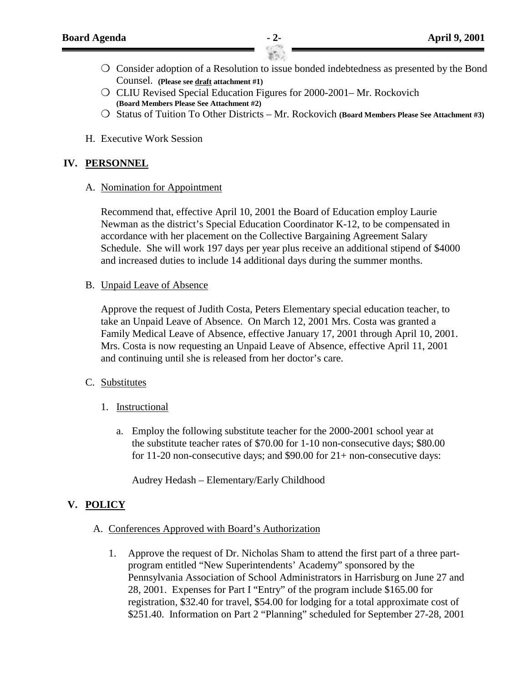- ❍ Consider adoption of a Resolution to issue bonded indebtedness as presented by the Bond Counsel. **(Please see draft attachment #1)**
- ❍ CLIU Revised Special Education Figures for 2000-2001– Mr. Rockovich **(Board Members Please See Attachment #2)**
- ❍ Status of Tuition To Other Districts Mr. Rockovich **(Board Members Please See Attachment #3)**
- H. Executive Work Session

## **IV. PERSONNEL**

A. Nomination for Appointment

Recommend that, effective April 10, 2001 the Board of Education employ Laurie Newman as the district's Special Education Coordinator K-12, to be compensated in accordance with her placement on the Collective Bargaining Agreement Salary Schedule. She will work 197 days per year plus receive an additional stipend of \$4000 and increased duties to include 14 additional days during the summer months.

B. Unpaid Leave of Absence

Approve the request of Judith Costa, Peters Elementary special education teacher, to take an Unpaid Leave of Absence. On March 12, 2001 Mrs. Costa was granted a Family Medical Leave of Absence, effective January 17, 2001 through April 10, 2001. Mrs. Costa is now requesting an Unpaid Leave of Absence, effective April 11, 2001 and continuing until she is released from her doctor's care.

#### C. Substitutes

- 1. Instructional
	- a. Employ the following substitute teacher for the 2000-2001 school year at the substitute teacher rates of \$70.00 for 1-10 non-consecutive days; \$80.00 for 11-20 non-consecutive days; and \$90.00 for 21+ non-consecutive days:

Audrey Hedash – Elementary/Early Childhood

#### **V. POLICY**

- A. Conferences Approved with Board's Authorization
	- 1. Approve the request of Dr. Nicholas Sham to attend the first part of a three partprogram entitled "New Superintendents' Academy" sponsored by the Pennsylvania Association of School Administrators in Harrisburg on June 27 and 28, 2001. Expenses for Part I "Entry" of the program include \$165.00 for registration, \$32.40 for travel, \$54.00 for lodging for a total approximate cost of \$251.40. Information on Part 2 "Planning" scheduled for September 27-28, 2001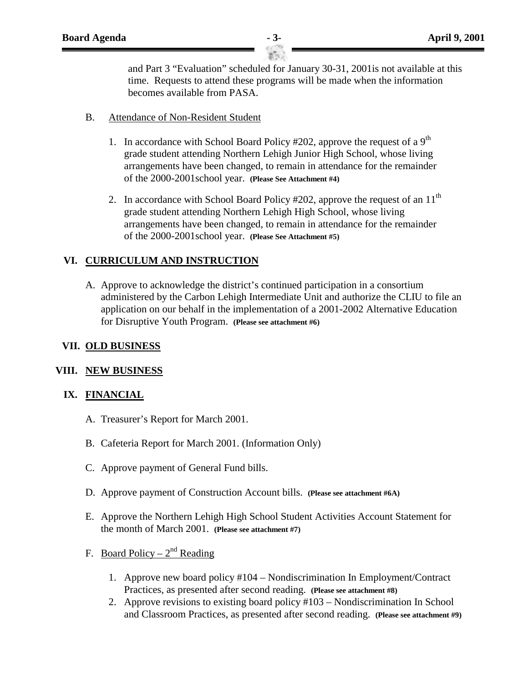and Part 3 "Evaluation" scheduled for January 30-31, 2001is not available at this time. Requests to attend these programs will be made when the information becomes available from PASA.

- B. Attendance of Non-Resident Student
	- 1. In accordance with School Board Policy #202, approve the request of a  $9<sup>th</sup>$ grade student attending Northern Lehigh Junior High School, whose living arrangements have been changed, to remain in attendance for the remainder of the 2000-2001school year. **(Please See Attachment #4)**
	- 2. In accordance with School Board Policy  $\#202$ , approve the request of an  $11<sup>th</sup>$ grade student attending Northern Lehigh High School, whose living arrangements have been changed, to remain in attendance for the remainder of the 2000-2001school year. **(Please See Attachment #5)**

## **VI. CURRICULUM AND INSTRUCTION**

A. Approve to acknowledge the district's continued participation in a consortium administered by the Carbon Lehigh Intermediate Unit and authorize the CLIU to file an application on our behalf in the implementation of a 2001-2002 Alternative Education for Disruptive Youth Program. **(Please see attachment #6)**

## **VII. OLD BUSINESS**

#### **VIII. NEW BUSINESS**

#### **IX. FINANCIAL**

- A. Treasurer's Report for March 2001.
- B. Cafeteria Report for March 2001. (Information Only)
- C. Approve payment of General Fund bills.
- D. Approve payment of Construction Account bills. **(Please see attachment #6A)**
- E. Approve the Northern Lehigh High School Student Activities Account Statement for the month of March 2001. **(Please see attachment #7)**
- F. Board Policy  $2^{nd}$  Reading
	- 1. Approve new board policy #104 Nondiscrimination In Employment/Contract Practices, as presented after second reading. **(Please see attachment #8)**
	- 2. Approve revisions to existing board policy #103 Nondiscrimination In School and Classroom Practices, as presented after second reading. **(Please see attachment #9)**